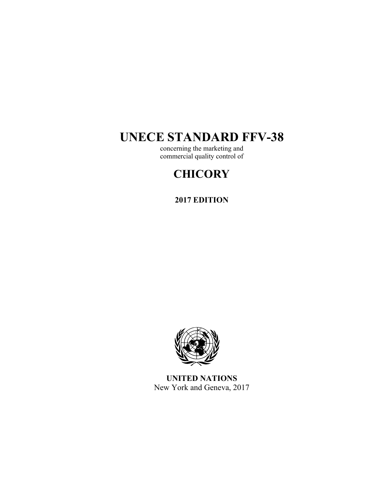# **UNECE STANDARD FFV-38**

concerning the marketing and commercial quality control of

# **CHICORY**

# **2017 EDITION**



**UNITED NATIONS**  New York and Geneva, 2017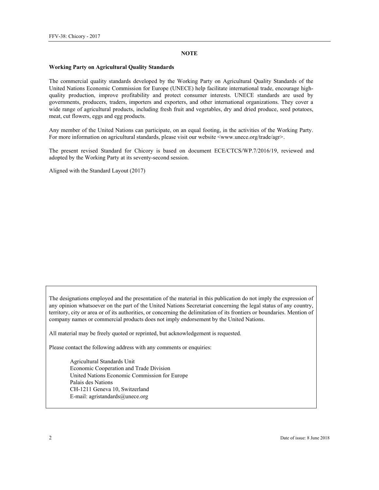#### **NOTE**

#### **Working Party on Agricultural Quality Standards**

The commercial quality standards developed by the Working Party on Agricultural Quality Standards of the United Nations Economic Commission for Europe (UNECE) help facilitate international trade, encourage highquality production, improve profitability and protect consumer interests. UNECE standards are used by governments, producers, traders, importers and exporters, and other international organizations. They cover a wide range of agricultural products, including fresh fruit and vegetables, dry and dried produce, seed potatoes, meat, cut flowers, eggs and egg products.

Any member of the United Nations can participate, on an equal footing, in the activities of the Working Party. For more information on agricultural standards, please visit our website <www.unece.org/trade/agr>.

The present revised Standard for Chicory is based on document ECE/CTCS/WP.7/2016/19, reviewed and adopted by the Working Party at its seventy-second session.

Aligned with the Standard Layout (2017)

The designations employed and the presentation of the material in this publication do not imply the expression of any opinion whatsoever on the part of the United Nations Secretariat concerning the legal status of any country, territory, city or area or of its authorities, or concerning the delimitation of its frontiers or boundaries. Mention of company names or commercial products does not imply endorsement by the United Nations.

All material may be freely quoted or reprinted, but acknowledgement is requested.

Please contact the following address with any comments or enquiries:

Agricultural Standards Unit Economic Cooperation and Trade Division United Nations Economic Commission for Europe Palais des Nations CH-1211 Geneva 10, Switzerland E-mail: agristandards@unece.org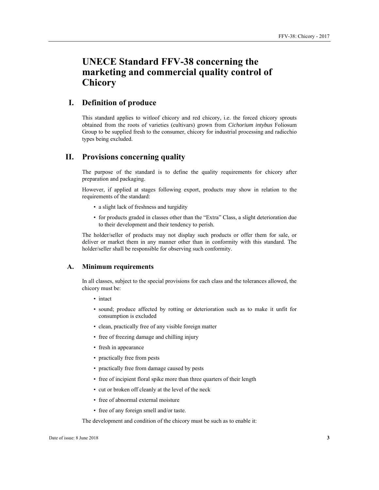# **UNECE Standard FFV-38 concerning the marketing and commercial quality control of Chicory**

# **I. Definition of produce**

This standard applies to witloof chicory and red chicory, i.e. the forced chicory sprouts obtained from the roots of varieties (cultivars) grown from *Cichorium intybus* Foliosum Group to be supplied fresh to the consumer, chicory for industrial processing and radicchio types being excluded.

### **II. Provisions concerning quality**

The purpose of the standard is to define the quality requirements for chicory after preparation and packaging.

However, if applied at stages following export, products may show in relation to the requirements of the standard:

- a slight lack of freshness and turgidity
- for products graded in classes other than the "Extra" Class, a slight deterioration due to their development and their tendency to perish.

The holder/seller of products may not display such products or offer them for sale, or deliver or market them in any manner other than in conformity with this standard. The holder/seller shall be responsible for observing such conformity.

#### **A. Minimum requirements**

In all classes, subject to the special provisions for each class and the tolerances allowed, the chicory must be:

- intact
- sound; produce affected by rotting or deterioration such as to make it unfit for consumption is excluded
- clean, practically free of any visible foreign matter
- free of freezing damage and chilling injury
- fresh in appearance
- practically free from pests
- practically free from damage caused by pests
- free of incipient floral spike more than three quarters of their length
- cut or broken off cleanly at the level of the neck
- free of abnormal external moisture
- free of any foreign smell and/or taste.

The development and condition of the chicory must be such as to enable it: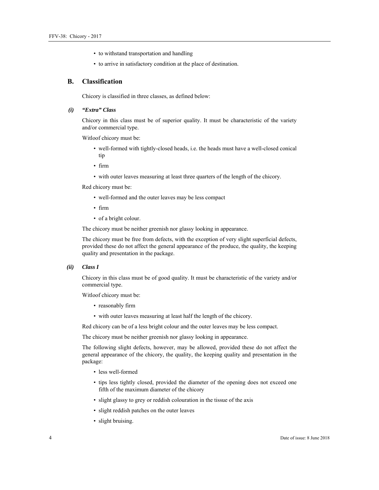- to withstand transportation and handling
- to arrive in satisfactory condition at the place of destination.

#### **B. Classification**

Chicory is classified in three classes, as defined below:

#### *(i) "Extra" Class*

Chicory in this class must be of superior quality. It must be characteristic of the variety and/or commercial type.

Witloof chicory must be:

- well-formed with tightly-closed heads, i.e. the heads must have a well-closed conical tip
- firm
- with outer leaves measuring at least three quarters of the length of the chicory.

Red chicory must be:

- well-formed and the outer leaves may be less compact
- firm
- of a bright colour.

The chicory must be neither greenish nor glassy looking in appearance.

The chicory must be free from defects, with the exception of very slight superficial defects, provided these do not affect the general appearance of the produce, the quality, the keeping quality and presentation in the package.

#### *(ii) Class I*

Chicory in this class must be of good quality. It must be characteristic of the variety and/or commercial type.

Witloof chicory must be:

- reasonably firm
- with outer leaves measuring at least half the length of the chicory.

Red chicory can be of a less bright colour and the outer leaves may be less compact.

The chicory must be neither greenish nor glassy looking in appearance.

The following slight defects, however, may be allowed, provided these do not affect the general appearance of the chicory, the quality, the keeping quality and presentation in the package:

- less well-formed
- tips less tightly closed, provided the diameter of the opening does not exceed one fifth of the maximum diameter of the chicory
- slight glassy to grey or reddish colouration in the tissue of the axis
- slight reddish patches on the outer leaves
- slight bruising.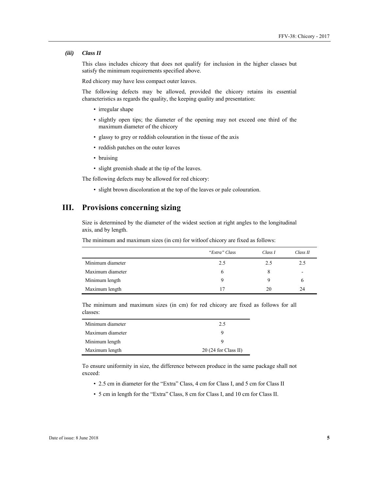#### *(iii) Class II*

This class includes chicory that does not qualify for inclusion in the higher classes but satisfy the minimum requirements specified above.

Red chicory may have less compact outer leaves.

The following defects may be allowed, provided the chicory retains its essential characteristics as regards the quality, the keeping quality and presentation:

- irregular shape
- slightly open tips; the diameter of the opening may not exceed one third of the maximum diameter of the chicory
- glassy to grey or reddish colouration in the tissue of the axis
- reddish patches on the outer leaves
- bruising
- slight greenish shade at the tip of the leaves.

The following defects may be allowed for red chicory:

• slight brown discoloration at the top of the leaves or pale colouration.

# **III. Provisions concerning sizing**

Size is determined by the diameter of the widest section at right angles to the longitudinal axis, and by length.

The minimum and maximum sizes (in cm) for witloof chicory are fixed as follows:

|                  | "Extra" Class | Class I | Class II                 |
|------------------|---------------|---------|--------------------------|
| Minimum diameter | 2.5           | 2.5     | 2.5                      |
| Maximum diameter | b             | 8       | $\overline{\phantom{a}}$ |
| Minimum length   | Q             |         |                          |
| Maximum length   | 17            | 20      | 24                       |

The minimum and maximum sizes (in cm) for red chicory are fixed as follows for all classes:

| Minimum diameter | 2.5                   |
|------------------|-----------------------|
| Maximum diameter |                       |
| Minimum length   |                       |
| Maximum length   | $20(24$ for Class II) |

To ensure uniformity in size, the difference between produce in the same package shall not exceed:

- 2.5 cm in diameter for the "Extra" Class, 4 cm for Class I, and 5 cm for Class II
- 5 cm in length for the "Extra" Class, 8 cm for Class I, and 10 cm for Class II.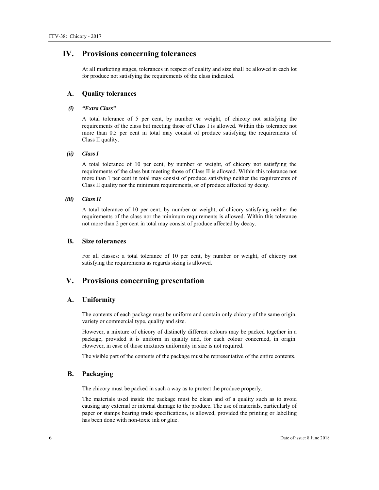## **IV. Provisions concerning tolerances**

At all marketing stages, tolerances in respect of quality and size shall be allowed in each lot for produce not satisfying the requirements of the class indicated.

#### **A. Quality tolerances**

#### *(i) "Extra Class"*

A total tolerance of 5 per cent, by number or weight, of chicory not satisfying the requirements of the class but meeting those of Class I is allowed. Within this tolerance not more than 0.5 per cent in total may consist of produce satisfying the requirements of Class II quality.

#### *(ii) Class I*

A total tolerance of 10 per cent, by number or weight, of chicory not satisfying the requirements of the class but meeting those of Class II is allowed. Within this tolerance not more than 1 per cent in total may consist of produce satisfying neither the requirements of Class II quality nor the minimum requirements, or of produce affected by decay.

#### *(iii) Class II*

A total tolerance of 10 per cent, by number or weight, of chicory satisfying neither the requirements of the class nor the minimum requirements is allowed. Within this tolerance not more than 2 per cent in total may consist of produce affected by decay.

#### **B. Size tolerances**

For all classes: a total tolerance of 10 per cent, by number or weight, of chicory not satisfying the requirements as regards sizing is allowed.

## **V. Provisions concerning presentation**

#### **A. Uniformity**

The contents of each package must be uniform and contain only chicory of the same origin, variety or commercial type, quality and size.

However, a mixture of chicory of distinctly different colours may be packed together in a package, provided it is uniform in quality and, for each colour concerned, in origin. However, in case of those mixtures uniformity in size is not required.

The visible part of the contents of the package must be representative of the entire contents.

#### **B. Packaging**

The chicory must be packed in such a way as to protect the produce properly.

The materials used inside the package must be clean and of a quality such as to avoid causing any external or internal damage to the produce. The use of materials, particularly of paper or stamps bearing trade specifications, is allowed, provided the printing or labelling has been done with non-toxic ink or glue.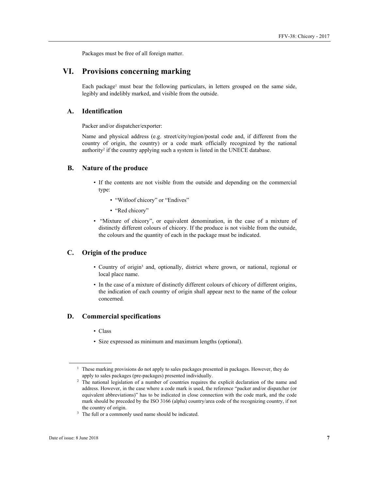Packages must be free of all foreign matter.

# **VI. Provisions concerning marking**

Each package<sup>1</sup> must bear the following particulars, in letters grouped on the same side, legibly and indelibly marked, and visible from the outside.

#### **A. Identification**

Packer and/or dispatcher/exporter:

Name and physical address (e.g. street/city/region/postal code and, if different from the country of origin, the country) or a code mark officially recognized by the national authority<sup>2</sup> if the country applying such a system is listed in the UNECE database.

#### **B. Nature of the produce**

- If the contents are not visible from the outside and depending on the commercial type:
	- "Witloof chicory" or "Endives"
	- "Red chicory"
- "Mixture of chicory", or equivalent denomination, in the case of a mixture of distinctly different colours of chicory. If the produce is not visible from the outside, the colours and the quantity of each in the package must be indicated.

## **C. Origin of the produce**

- Country of origin<sup>3</sup> and, optionally, district where grown, or national, regional or local place name.
- In the case of a mixture of distinctly different colours of chicory of different origins, the indication of each country of origin shall appear next to the name of the colour concerned.

#### **D. Commercial specifications**

- Class
- Size expressed as minimum and maximum lengths (optional).

 $\overline{a}$ 

<sup>&</sup>lt;sup>1</sup> These marking provisions do not apply to sales packages presented in packages. However, they do

apply to sales packages (pre-packages) presented individually. 2 The national legislation of a number of countries requires the explicit declaration of the name and address. However, in the case where a code mark is used, the reference "packer and/or dispatcher (or equivalent abbreviations)" has to be indicated in close connection with the code mark, and the code mark should be preceded by the ISO 3166 (alpha) country/area code of the recognizing country, if not

the country of origin.<br><sup>3</sup> The full or a commonly used name should be indicated.